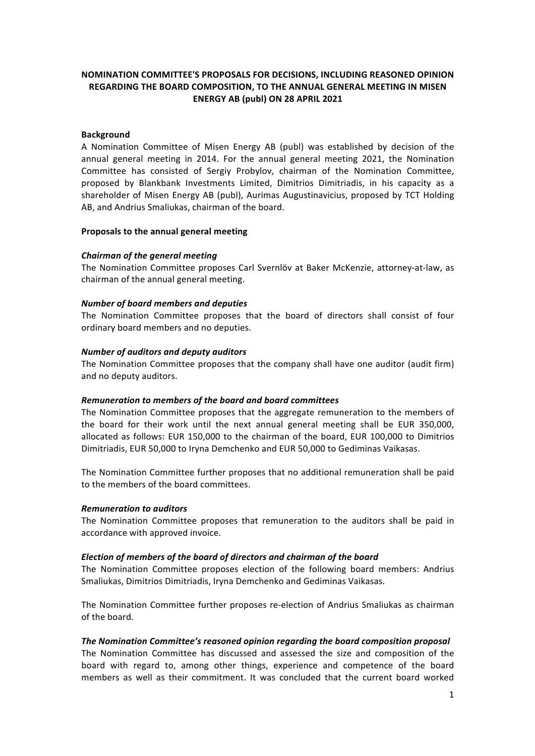# **NOMINATION COMMITTEE'S PROPOSALS FOR DECISIONS, INCLUDING REASONED OPINION REGARDING THE BOARD COMPOSITION, TO THE ANNUAL GENERAL MEETING IN MISEN ENERGY AB (publ) ON 28 APRIL 2021**

### **Background**

A Nomination Committee of Misen Energy AB (publ) was established by decision of the annual general meeting in 2014. For the annual general meeting 2021, the Nomination Committee has consisted of Sergiy Probylov, chairman of the Nomination Committee, proposed by Blankbank Investments Limited, Dimitrios Dimitriadis, in his capacity as a shareholder of Misen Energy AB (publ), Aurimas Augustinavicius, proposed by TCT Holding AB, and Andrius Smaliukas, chairman of the board.

#### **Proposals to the annual general meeting**

### *Chairman of the general meeting*

The Nomination Committee proposes Carl Svernlöv at Baker McKenzie, attorney-at-law, as chairman of the annual general meeting.

### *Number of board members and deputies*

The Nomination Committee proposes that the board of directors shall consist of four ordinary board members and no deputies.

### *Number of auditors and deputy auditors*

The Nomination Committee proposes that the company shall have one auditor (audit firm) and no deputy auditors.

#### *Remuneration to members of the board and board committees*

The Nomination Committee proposes that the aggregate remuneration to the members of the board for their work until the next annual general meeting shall be EUR 350,000, allocated as follows: EUR 150,000 to the chairman of the board, EUR 100,000 to Dimitrios Dimitriadis, EUR 50,000 to Iryna Demchenko and EUR 50,000 to Gediminas Vaikasas.

The Nomination Committee further proposes that no additional remuneration shall be paid to the members of the board committees.

#### *Remuneration to auditors*

The Nomination Committee proposes that remuneration to the auditors shall be paid in accordance with approved invoice.

## *Election of members of the board of directors and chairman of the board*

The Nomination Committee proposes election of the following board members: Andrius Smaliukas, Dimitrios Dimitriadis, Iryna Demchenko and Gediminas Vaikasas.

The Nomination Committee further proposes re-election of Andrius Smaliukas as chairman of the board.

## The Nomination Committee's reasoned opinion regarding the board composition proposal

The Nomination Committee has discussed and assessed the size and composition of the board with regard to, among other things, experience and competence of the board members as well as their commitment. It was concluded that the current board worked